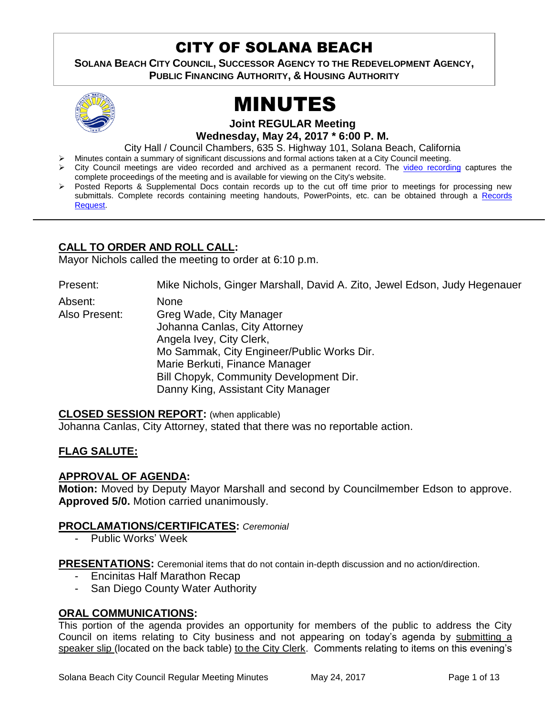# CITY OF SOLANA BEACH

3 **SOLANA BEACH CITY COUNCIL, SUCCESSOR AGENCY TO THE REDEVELOPMENT AGENCY, PUBLIC FINANCING AUTHORITY, & HOUSING AUTHORITY** 



# MINUTES

**Joint REGULAR Meeting Wednesday, May 24, 2017 \* 6:00 P. M.**

City Hall / Council Chambers, 635 S. Highway 101, Solana Beach, California

Minutes contain a summary of significant discussions and formal actions taken at a City Council meeting.

- City Council meetings are video recorded and archived as a permanent record. The [video recording](https://solanabeach.12milesout.com/video/meeting/9dd90dfa-8a22-4322-9c39-fb13c9b5f7be) captures the complete proceedings of the meeting and is available for viewing on the City's website.
- Posted Reports & Supplemental Docs contain records up to the cut off time prior to meetings for processing new submittals. Complete records containing meeting handouts, PowerPoints, etc. can be obtained through a Records [Request.](http://www.ci.solana-beach.ca.us/index.asp?SEC=F5D45D10-70CE-4291-A27C-7BD633FC6742&Type=B_BASIC)

## **CALL TO ORDER AND ROLL CALL:**

Mayor Nichols called the meeting to order at 6:10 p.m.

Present: Mike Nichols, Ginger Marshall, David A. Zito, Jewel Edson, Judy Hegenauer Absent: None Also Present: Greg Wade, City Manager Johanna Canlas, City Attorney Angela Ivey, City Clerk, Mo Sammak, City Engineer/Public Works Dir. Marie Berkuti, Finance Manager Bill Chopyk, Community Development Dir.

Danny King, Assistant City Manager

#### **CLOSED SESSION REPORT:** (when applicable)

Johanna Canlas, City Attorney, stated that there was no reportable action.

#### **FLAG SALUTE:**

#### **APPROVAL OF AGENDA:**

**Motion:** Moved by Deputy Mayor Marshall and second by Councilmember Edson to approve. **Approved 5/0.** Motion carried unanimously.

#### **PROCLAMATIONS/CERTIFICATES:** *Ceremonial*

Public Works' Week

**PRESENTATIONS:** Ceremonial items that do not contain in-depth discussion and no action/direction.

- Encinitas Half Marathon Recap
- San Diego County Water Authority

#### **ORAL COMMUNICATIONS:**

This portion of the agenda provides an opportunity for members of the public to address the City Council on items relating to City business and not appearing on today's agenda by submitting a speaker slip (located on the back table) to the City Clerk. Comments relating to items on this evening's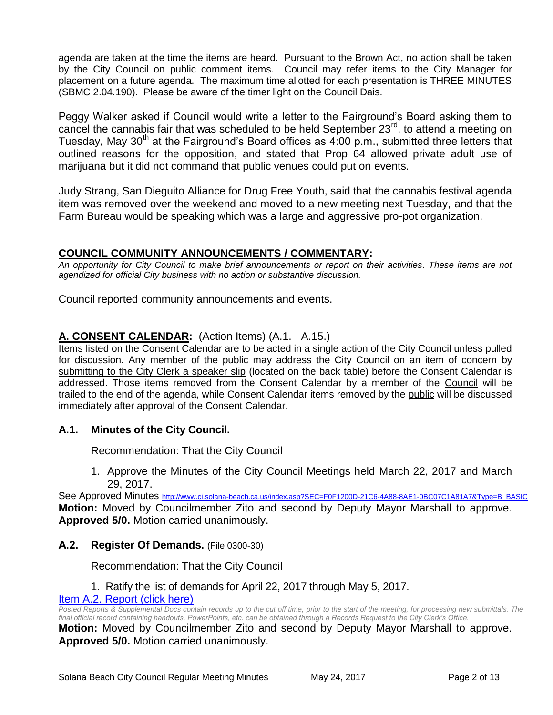agenda are taken at the time the items are heard. Pursuant to the Brown Act, no action shall be taken by the City Council on public comment items. Council may refer items to the City Manager for placement on a future agenda. The maximum time allotted for each presentation is THREE MINUTES (SBMC 2.04.190). Please be aware of the timer light on the Council Dais.

Peggy Walker asked if Council would write a letter to the Fairground's Board asking them to cancel the cannabis fair that was scheduled to be held September  $23<sup>rd</sup>$ , to attend a meeting on Tuesday, May 30<sup>th</sup> at the Fairground's Board offices as 4:00 p.m., submitted three letters that outlined reasons for the opposition, and stated that Prop 64 allowed private adult use of marijuana but it did not command that public venues could put on events.

Judy Strang, San Dieguito Alliance for Drug Free Youth, said that the cannabis festival agenda item was removed over the weekend and moved to a new meeting next Tuesday, and that the Farm Bureau would be speaking which was a large and aggressive pro-pot organization.

#### **COUNCIL COMMUNITY ANNOUNCEMENTS / COMMENTARY:**

*An opportunity for City Council to make brief announcements or report on their activities. These items are not agendized for official City business with no action or substantive discussion.* 

Council reported community announcements and events.

#### **A. CONSENT CALENDAR:** (Action Items) (A.1. - A.15.)

Items listed on the Consent Calendar are to be acted in a single action of the City Council unless pulled for discussion. Any member of the public may address the City Council on an item of concern by submitting to the City Clerk a speaker slip (located on the back table) before the Consent Calendar is addressed. Those items removed from the Consent Calendar by a member of the Council will be trailed to the end of the agenda, while Consent Calendar items removed by the public will be discussed immediately after approval of the Consent Calendar.

#### **A.1. Minutes of the City Council.**

Recommendation: That the City Council

1. Approve the Minutes of the City Council Meetings held March 22, 2017 and March 29, 2017.

See Approved Minutes [http://www.ci.solana-beach.ca.us/index.asp?SEC=F0F1200D-21C6-4A88-8AE1-0BC07C1A81A7&Type=B\\_BASIC](http://www.ci.solana-beach.ca.us/index.asp?SEC=F0F1200D-21C6-4A88-8AE1-0BC07C1A81A7&Type=B_BASIC) **Motion:** Moved by Councilmember Zito and second by Deputy Mayor Marshall to approve. **Approved 5/0.** Motion carried unanimously.

#### **A.2. Register Of Demands.** (File 0300-30)

Recommendation: That the City Council

#### 1. Ratify the list of demands for April 22, 2017 through May 5, 2017.

#### [Item A.2. Report \(click here\)](https://solanabeach.govoffice3.com/vertical/Sites/%7B840804C2-F869-4904-9AE3-720581350CE7%7D/uploads/Item_A.2._Report_(click_here)_5-24-17.PDF)

*Posted Reports & Supplemental Docs contain records up to the cut off time, prior to the start of the meeting, for processing new submittals. The final official record containing handouts, PowerPoints, etc. can be obtained through a Records Request to the City Clerk's Office.*

**Motion:** Moved by Councilmember Zito and second by Deputy Mayor Marshall to approve. **Approved 5/0.** Motion carried unanimously.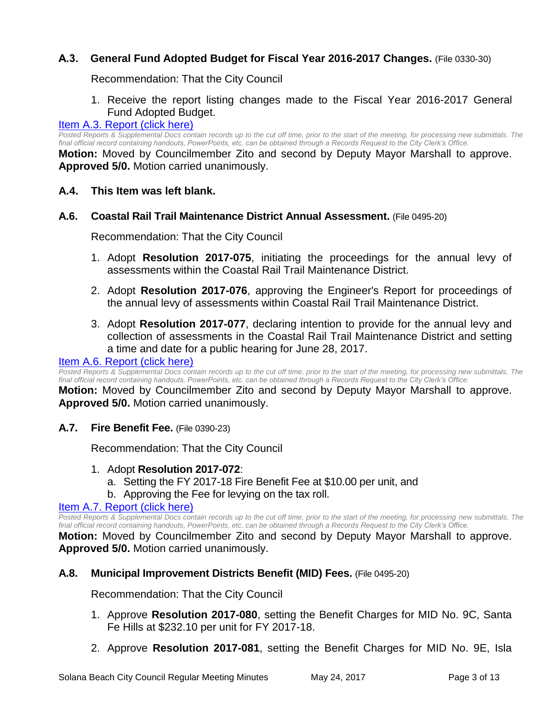# **A.3. General Fund Adopted Budget for Fiscal Year 2016-2017 Changes.** (File 0330-30)

Recommendation: That the City Council

1. Receive the report listing changes made to the Fiscal Year 2016-2017 General Fund Adopted Budget.

#### [Item A.3. Report \(click here\)](https://solanabeach.govoffice3.com/vertical/Sites/%7B840804C2-F869-4904-9AE3-720581350CE7%7D/uploads/Item_A.3._Report_(click_here)_5-24-17.PDF)

Posted Reports & Supplemental Docs contain records up to the cut off time, prior to the start of the meeting, for processing new submittals. The *final official record containing handouts, PowerPoints, etc. can be obtained through a Records Request to the City Clerk's Office.*

**Motion:** Moved by Councilmember Zito and second by Deputy Mayor Marshall to approve. **Approved 5/0.** Motion carried unanimously.

- **A.4. This Item was left blank.**
- **A.6. Coastal Rail Trail Maintenance District Annual Assessment.** (File 0495-20)

Recommendation: That the City Council

- 1. Adopt **Resolution 2017-075**, initiating the proceedings for the annual levy of assessments within the Coastal Rail Trail Maintenance District.
- 2. Adopt **Resolution 2017-076**, approving the Engineer's Report for proceedings of the annual levy of assessments within Coastal Rail Trail Maintenance District.
- 3. Adopt **Resolution 2017-077**, declaring intention to provide for the annual levy and collection of assessments in the Coastal Rail Trail Maintenance District and setting a time and date for a public hearing for June 28, 2017.

#### [Item A.6. Report \(click here\)](https://solanabeach.govoffice3.com/vertical/Sites/%7B840804C2-F869-4904-9AE3-720581350CE7%7D/uploads/Item_A.6._Report_(click_here)_5-24-17.PDF)

*Posted Reports & Supplemental Docs contain records up to the cut off time, prior to the start of the meeting, for processing new submittals. The final official record containing handouts, PowerPoints, etc. can be obtained through a Records Request to the City Clerk's Office.*

**Motion:** Moved by Councilmember Zito and second by Deputy Mayor Marshall to approve. **Approved 5/0.** Motion carried unanimously.

**A.7. Fire Benefit Fee.** (File 0390-23)

Recommendation: That the City Council

- 1. Adopt **Resolution 2017-072**:
	- a. Setting the FY 2017-18 Fire Benefit Fee at \$10.00 per unit, and
	- b. Approving the Fee for levying on the tax roll.

#### [Item A.7. Report \(click here\)](https://solanabeach.govoffice3.com/vertical/Sites/%7B840804C2-F869-4904-9AE3-720581350CE7%7D/uploads/Item_A.7._Report_(click_here)_5-24-17.PDF)

*Posted Reports & Supplemental Docs contain records up to the cut off time, prior to the start of the meeting, for processing new submittals. The final official record containing handouts, PowerPoints, etc. can be obtained through a Records Request to the City Clerk's Office.*

**Motion:** Moved by Councilmember Zito and second by Deputy Mayor Marshall to approve. **Approved 5/0.** Motion carried unanimously.

#### **A.8. Municipal Improvement Districts Benefit (MID) Fees.** (File 0495-20)

Recommendation: That the City Council

- 1. Approve **Resolution 2017-080**, setting the Benefit Charges for MID No. 9C, Santa Fe Hills at \$232.10 per unit for FY 2017-18.
- 2. Approve **Resolution 2017-081**, setting the Benefit Charges for MID No. 9E, Isla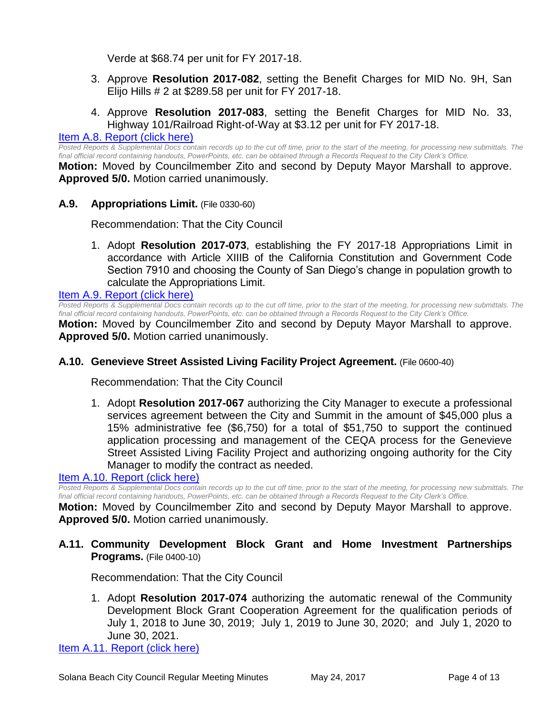Verde at \$68.74 per unit for FY 2017-18.

- 3. Approve **Resolution 2017-082**, setting the Benefit Charges for MID No. 9H, San Elijo Hills # 2 at \$289.58 per unit for FY 2017-18.
- 4. Approve **Resolution 2017-083**, setting the Benefit Charges for MID No. 33, Highway 101/Railroad Right-of-Way at \$3.12 per unit for FY 2017-18.

#### [Item A.8. Report \(click here\)](https://solanabeach.govoffice3.com/vertical/Sites/%7B840804C2-F869-4904-9AE3-720581350CE7%7D/uploads/Item_A.8._Report_(click_here)_5-24-17.PDF)

*Posted Reports & Supplemental Docs contain records up to the cut off time, prior to the start of the meeting, for processing new submittals. The final official record containing handouts, PowerPoints, etc. can be obtained through a Records Request to the City Clerk's Office.*

**Motion:** Moved by Councilmember Zito and second by Deputy Mayor Marshall to approve. **Approved 5/0.** Motion carried unanimously.

**A.9. Appropriations Limit.** (File 0330-60)

Recommendation: That the City Council

1. Adopt **Resolution 2017-073**, establishing the FY 2017-18 Appropriations Limit in accordance with Article XIIIB of the California Constitution and Government Code Section 7910 and choosing the County of San Diego's change in population growth to calculate the Appropriations Limit.

[Item A.9. Report \(click here\)](https://solanabeach.govoffice3.com/vertical/Sites/%7B840804C2-F869-4904-9AE3-720581350CE7%7D/uploads/Item_A.9._Report_(click_here)_5-24-17.PDF)

*Posted Reports & Supplemental Docs contain records up to the cut off time, prior to the start of the meeting, for processing new submittals. The final official record containing handouts, PowerPoints, etc. can be obtained through a Records Request to the City Clerk's Office.*

**Motion:** Moved by Councilmember Zito and second by Deputy Mayor Marshall to approve. **Approved 5/0.** Motion carried unanimously.

#### **A.10. Genevieve Street Assisted Living Facility Project Agreement.** (File 0600-40)

Recommendation: That the City Council

1. Adopt **Resolution 2017-067** authorizing the City Manager to execute a professional services agreement between the City and Summit in the amount of \$45,000 plus a 15% administrative fee (\$6,750) for a total of \$51,750 to support the continued application processing and management of the CEQA process for the Genevieve Street Assisted Living Facility Project and authorizing ongoing authority for the City Manager to modify the contract as needed.

#### [Item A.10. Report \(click here\)](https://solanabeach.govoffice3.com/vertical/Sites/%7B840804C2-F869-4904-9AE3-720581350CE7%7D/uploads/Item_A.10._Report_(click_here)_5-24-17.PDF)

*Posted Reports & Supplemental Docs contain records up to the cut off time, prior to the start of the meeting, for processing new submittals. The final official record containing handouts, PowerPoints, etc. can be obtained through a Records Request to the City Clerk's Office.*

**Motion:** Moved by Councilmember Zito and second by Deputy Mayor Marshall to approve. **Approved 5/0.** Motion carried unanimously.

## **A.11. Community Development Block Grant and Home Investment Partnerships Programs.** (File 0400-10)

Recommendation: That the City Council

1. Adopt **Resolution 2017-074** authorizing the automatic renewal of the Community Development Block Grant Cooperation Agreement for the qualification periods of July 1, 2018 to June 30, 2019; July 1, 2019 to June 30, 2020; and July 1, 2020 to June 30, 2021.

[Item A.11. Report \(click here\)](https://solanabeach.govoffice3.com/vertical/Sites/%7B840804C2-F869-4904-9AE3-720581350CE7%7D/uploads/Item_A.11._Report_(click_here)_5-24-17.PDF)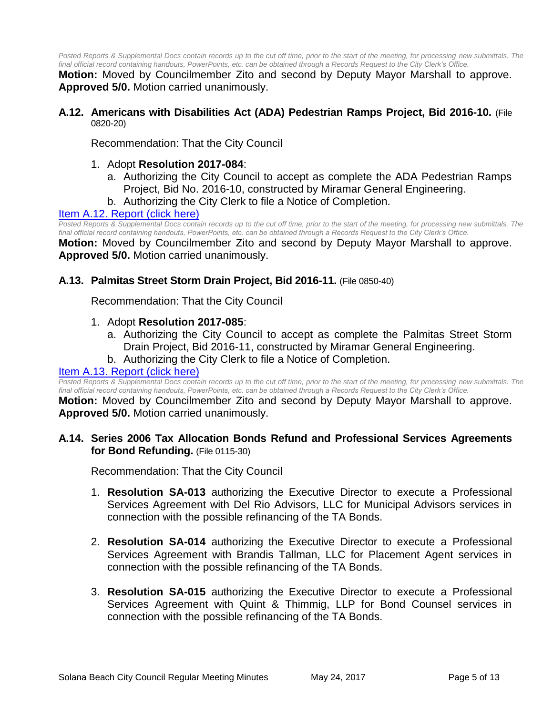*Posted Reports & Supplemental Docs contain records up to the cut off time, prior to the start of the meeting, for processing new submittals. The final official record containing handouts, PowerPoints, etc. can be obtained through a Records Request to the City Clerk's Office.*

**Motion:** Moved by Councilmember Zito and second by Deputy Mayor Marshall to approve. **Approved 5/0.** Motion carried unanimously.

**A.12. Americans with Disabilities Act (ADA) Pedestrian Ramps Project, Bid 2016-10.** (File 0820-20)

Recommendation: That the City Council

- 1. Adopt **Resolution 2017-084**:
	- a. Authorizing the City Council to accept as complete the ADA Pedestrian Ramps Project, Bid No. 2016-10, constructed by Miramar General Engineering.
	- b. Authorizing the City Clerk to file a Notice of Completion.

#### [Item A.12. Report \(click here\)](https://solanabeach.govoffice3.com/vertical/Sites/%7B840804C2-F869-4904-9AE3-720581350CE7%7D/uploads/Item_A.12._Report_(click_here)_5-24-17.PDF)

*Posted Reports & Supplemental Docs contain records up to the cut off time, prior to the start of the meeting, for processing new submittals. The final official record containing handouts, PowerPoints, etc. can be obtained through a Records Request to the City Clerk's Office.*

**Motion:** Moved by Councilmember Zito and second by Deputy Mayor Marshall to approve. **Approved 5/0.** Motion carried unanimously.

#### **A.13. Palmitas Street Storm Drain Project, Bid 2016-11.** (File 0850-40)

Recommendation: That the City Council

- 1. Adopt **Resolution 2017-085**:
	- a. Authorizing the City Council to accept as complete the Palmitas Street Storm Drain Project, Bid 2016-11, constructed by Miramar General Engineering.
	- b. Authorizing the City Clerk to file a Notice of Completion.

#### [Item A.13. Report \(click here\)](https://solanabeach.govoffice3.com/vertical/Sites/%7B840804C2-F869-4904-9AE3-720581350CE7%7D/uploads/Item_A.13._Report_(click_here)_5-24-17.PDF)

Posted Reports & Supplemental Docs contain records up to the cut off time, prior to the start of the meeting, for processing new submittals. The *final official record containing handouts, PowerPoints, etc. can be obtained through a Records Request to the City Clerk's Office.*

**Motion:** Moved by Councilmember Zito and second by Deputy Mayor Marshall to approve. **Approved 5/0.** Motion carried unanimously.

#### **A.14. Series 2006 Tax Allocation Bonds Refund and Professional Services Agreements for Bond Refunding.** (File 0115-30)

Recommendation: That the City Council

- 1. **Resolution SA-013** authorizing the Executive Director to execute a Professional Services Agreement with Del Rio Advisors, LLC for Municipal Advisors services in connection with the possible refinancing of the TA Bonds.
- 2. **Resolution SA-014** authorizing the Executive Director to execute a Professional Services Agreement with Brandis Tallman, LLC for Placement Agent services in connection with the possible refinancing of the TA Bonds.
- 3. **Resolution SA-015** authorizing the Executive Director to execute a Professional Services Agreement with Quint & Thimmig, LLP for Bond Counsel services in connection with the possible refinancing of the TA Bonds.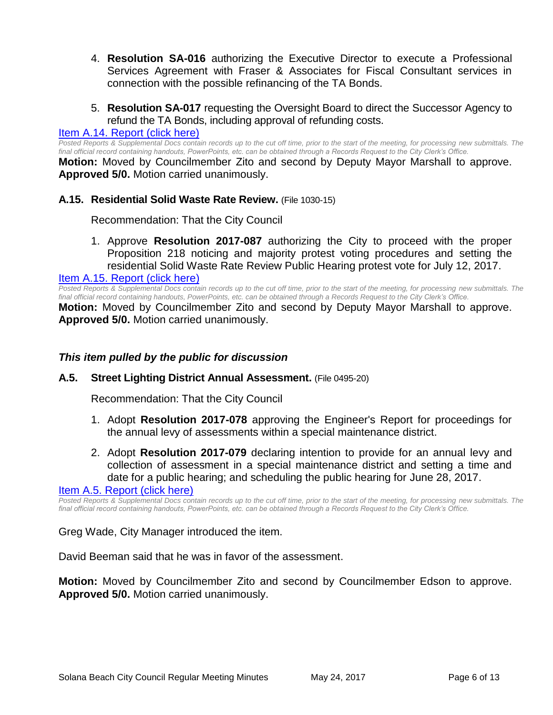- 4. **Resolution SA-016** authorizing the Executive Director to execute a Professional Services Agreement with Fraser & Associates for Fiscal Consultant services in connection with the possible refinancing of the TA Bonds.
- 5. **Resolution SA-017** requesting the Oversight Board to direct the Successor Agency to refund the TA Bonds, including approval of refunding costs.

#### [Item A.14. Report \(click here\)](https://solanabeach.govoffice3.com/vertical/Sites/%7B840804C2-F869-4904-9AE3-720581350CE7%7D/uploads/Item_A.14._Report_(click_here)_5-24-17.PDF)

*Posted Reports & Supplemental Docs contain records up to the cut off time, prior to the start of the meeting, for processing new submittals. The final official record containing handouts, PowerPoints, etc. can be obtained through a Records Request to the City Clerk's Office.*

**Motion:** Moved by Councilmember Zito and second by Deputy Mayor Marshall to approve. **Approved 5/0.** Motion carried unanimously.

#### **A.15. Residential Solid Waste Rate Review.** (File 1030-15)

Recommendation: That the City Council

1. Approve **Resolution 2017-087** authorizing the City to proceed with the proper Proposition 218 noticing and majority protest voting procedures and setting the residential Solid Waste Rate Review Public Hearing protest vote for July 12, 2017.

[Item A.15. Report \(click here\)](https://solanabeach.govoffice3.com/vertical/Sites/%7B840804C2-F869-4904-9AE3-720581350CE7%7D/uploads/Item_A.15._Report_(click_here)_5-24-17.PDF)

*Posted Reports & Supplemental Docs contain records up to the cut off time, prior to the start of the meeting, for processing new submittals. The final official record containing handouts, PowerPoints, etc. can be obtained through a Records Request to the City Clerk's Office.*

**Motion:** Moved by Councilmember Zito and second by Deputy Mayor Marshall to approve. **Approved 5/0.** Motion carried unanimously.

#### *This item pulled by the public for discussion*

#### **A.5. Street Lighting District Annual Assessment.** (File 0495-20)

Recommendation: That the City Council

- 1. Adopt **Resolution 2017-078** approving the Engineer's Report for proceedings for the annual levy of assessments within a special maintenance district.
- 2. Adopt **Resolution 2017-079** declaring intention to provide for an annual levy and collection of assessment in a special maintenance district and setting a time and date for a public hearing; and scheduling the public hearing for June 28, 2017.

[Item A.5. Report \(click here\)](https://solanabeach.govoffice3.com/vertical/Sites/%7B840804C2-F869-4904-9AE3-720581350CE7%7D/uploads/Item_A.5._Report_(click_here)_5-24-17.PDF)

*Posted Reports & Supplemental Docs contain records up to the cut off time, prior to the start of the meeting, for processing new submittals. The final official record containing handouts, PowerPoints, etc. can be obtained through a Records Request to the City Clerk's Office.*

Greg Wade, City Manager introduced the item.

David Beeman said that he was in favor of the assessment.

**Motion:** Moved by Councilmember Zito and second by Councilmember Edson to approve. **Approved 5/0.** Motion carried unanimously.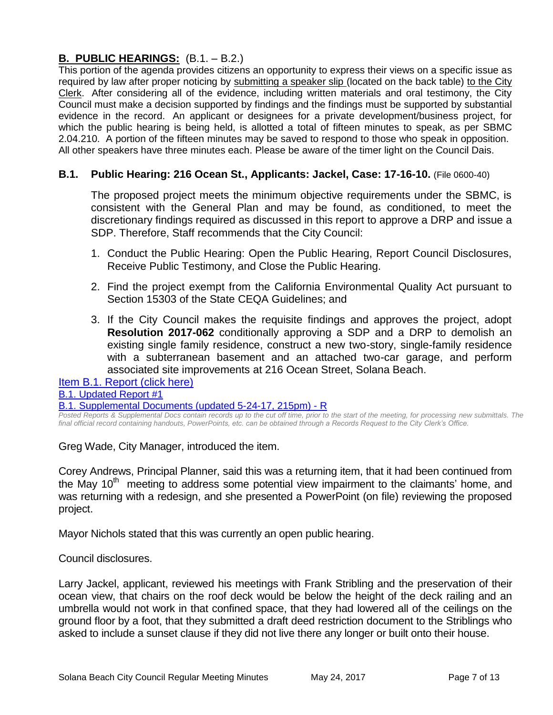# **B. PUBLIC HEARINGS:** (B.1. – B.2.)

This portion of the agenda provides citizens an opportunity to express their views on a specific issue as required by law after proper noticing by submitting a speaker slip (located on the back table) to the City Clerk. After considering all of the evidence, including written materials and oral testimony, the City Council must make a decision supported by findings and the findings must be supported by substantial evidence in the record. An applicant or designees for a private development/business project, for which the public hearing is being held, is allotted a total of fifteen minutes to speak, as per SBMC 2.04.210. A portion of the fifteen minutes may be saved to respond to those who speak in opposition. All other speakers have three minutes each. Please be aware of the timer light on the Council Dais.

# **B.1. Public Hearing: 216 Ocean St., Applicants: Jackel, Case: 17-16-10.** (File 0600-40)

The proposed project meets the minimum objective requirements under the SBMC, is consistent with the General Plan and may be found, as conditioned, to meet the discretionary findings required as discussed in this report to approve a DRP and issue a SDP. Therefore, Staff recommends that the City Council:

- 1. Conduct the Public Hearing: Open the Public Hearing, Report Council Disclosures, Receive Public Testimony, and Close the Public Hearing.
- 2. Find the project exempt from the California Environmental Quality Act pursuant to Section 15303 of the State CEQA Guidelines; and
- 3. If the City Council makes the requisite findings and approves the project, adopt **Resolution 2017-062** conditionally approving a SDP and a DRP to demolish an existing single family residence, construct a new two-story, single-family residence with a subterranean basement and an attached two-car garage, and perform associated site improvements at 216 Ocean Street, Solana Beach.

[Item B.1. Report \(click here\)](https://solanabeach.govoffice3.com/vertical/Sites/%7B840804C2-F869-4904-9AE3-720581350CE7%7D/uploads/Item_B.1._Report_(click_here)_5-24-17.PDF) [B.1. Updated Report #1](https://solanabeach.govoffice3.com/vertical/Sites/%7B840804C2-F869-4904-9AE3-720581350CE7%7D/uploads/B.1._Updated_Report_1_(5-24-17).pdf)

[B.1. Supplemental Documents \(updated 5-24-17, 215pm\) -](https://solanabeach.govoffice3.com/vertical/Sites/%7B840804C2-F869-4904-9AE3-720581350CE7%7D/uploads/B.1._Supplemental_Documents_(updated_5-24-17_215pm)_-_R.pdf) R

*Posted Reports & Supplemental Docs contain records up to the cut off time, prior to the start of the meeting, for processing new submittals. The final official record containing handouts, PowerPoints, etc. can be obtained through a Records Request to the City Clerk's Office.*

Greg Wade, City Manager, introduced the item.

Corey Andrews, Principal Planner, said this was a returning item, that it had been continued from the May  $10<sup>th</sup>$  meeting to address some potential view impairment to the claimants' home, and was returning with a redesign, and she presented a PowerPoint (on file) reviewing the proposed project.

Mayor Nichols stated that this was currently an open public hearing.

Council disclosures.

Larry Jackel, applicant, reviewed his meetings with Frank Stribling and the preservation of their ocean view, that chairs on the roof deck would be below the height of the deck railing and an umbrella would not work in that confined space, that they had lowered all of the ceilings on the ground floor by a foot, that they submitted a draft deed restriction document to the Striblings who asked to include a sunset clause if they did not live there any longer or built onto their house.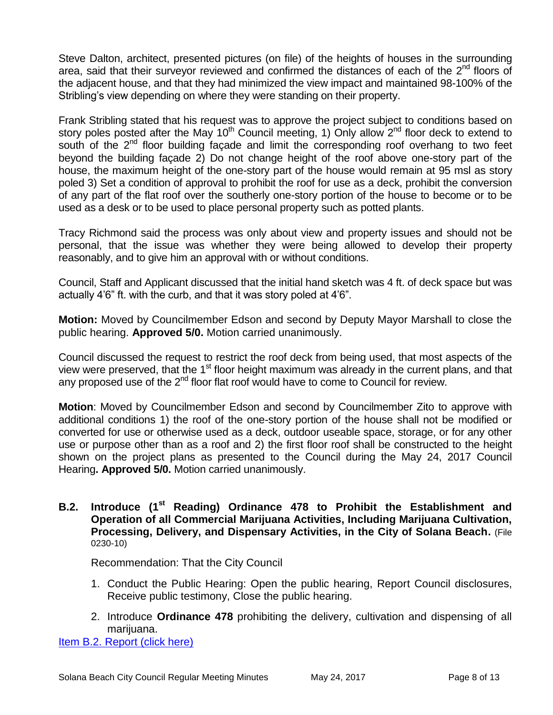Steve Dalton, architect, presented pictures (on file) of the heights of houses in the surrounding area, said that their surveyor reviewed and confirmed the distances of each of the  $2^{nd}$  floors of the adjacent house, and that they had minimized the view impact and maintained 98-100% of the Stribling's view depending on where they were standing on their property.

Frank Stribling stated that his request was to approve the project subject to conditions based on story poles posted after the May  $10^{th}$  Council meeting, 1) Only allow  $2^{nd}$  floor deck to extend to south of the  $2<sup>nd</sup>$  floor building facade and limit the corresponding roof overhang to two feet beyond the building façade 2) Do not change height of the roof above one-story part of the house, the maximum height of the one-story part of the house would remain at 95 msl as story poled 3) Set a condition of approval to prohibit the roof for use as a deck, prohibit the conversion of any part of the flat roof over the southerly one-story portion of the house to become or to be used as a desk or to be used to place personal property such as potted plants.

Tracy Richmond said the process was only about view and property issues and should not be personal, that the issue was whether they were being allowed to develop their property reasonably, and to give him an approval with or without conditions.

Council, Staff and Applicant discussed that the initial hand sketch was 4 ft. of deck space but was actually 4'6" ft. with the curb, and that it was story poled at 4'6".

**Motion:** Moved by Councilmember Edson and second by Deputy Mayor Marshall to close the public hearing. **Approved 5/0.** Motion carried unanimously.

Council discussed the request to restrict the roof deck from being used, that most aspects of the view were preserved, that the  $1<sup>st</sup>$  floor height maximum was already in the current plans, and that any proposed use of the 2<sup>nd</sup> floor flat roof would have to come to Council for review.

**Motion**: Moved by Councilmember Edson and second by Councilmember Zito to approve with additional conditions 1) the roof of the one-story portion of the house shall not be modified or converted for use or otherwise used as a deck, outdoor useable space, storage, or for any other use or purpose other than as a roof and 2) the first floor roof shall be constructed to the height shown on the project plans as presented to the Council during the May 24, 2017 Council Hearing**. Approved 5/0.** Motion carried unanimously.

**B.2. Introduce (1st Reading) Ordinance 478 to Prohibit the Establishment and Operation of all Commercial Marijuana Activities, Including Marijuana Cultivation, Processing, Delivery, and Dispensary Activities, in the City of Solana Beach.** (File 0230-10)

Recommendation: That the City Council

- 1. Conduct the Public Hearing: Open the public hearing, Report Council disclosures, Receive public testimony, Close the public hearing.
- 2. Introduce **Ordinance 478** prohibiting the delivery, cultivation and dispensing of all marijuana.

[Item B.2. Report \(click here\)](https://solanabeach.govoffice3.com/vertical/Sites/%7B840804C2-F869-4904-9AE3-720581350CE7%7D/uploads/Item_B.2._Report_(click_here)_5-24-17.PDF)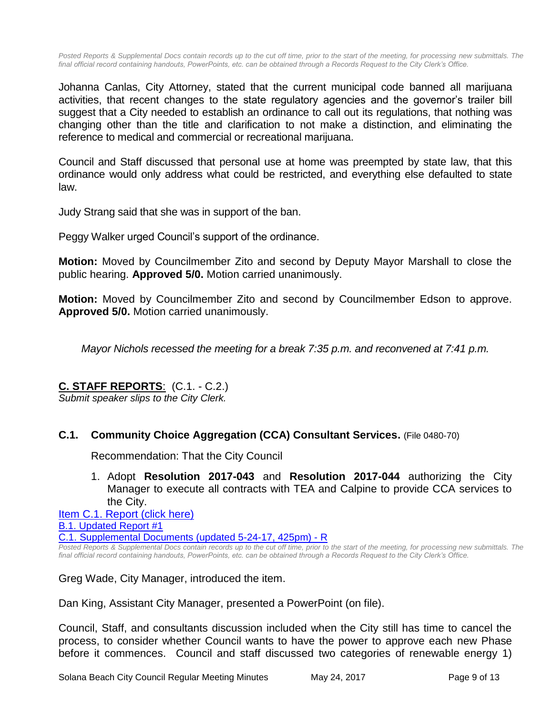Posted Reports & Supplemental Docs contain records up to the cut off time, prior to the start of the meeting, for processing new submittals. The *final official record containing handouts, PowerPoints, etc. can be obtained through a Records Request to the City Clerk's Office.*

Johanna Canlas, City Attorney, stated that the current municipal code banned all marijuana activities, that recent changes to the state regulatory agencies and the governor's trailer bill suggest that a City needed to establish an ordinance to call out its regulations, that nothing was changing other than the title and clarification to not make a distinction, and eliminating the reference to medical and commercial or recreational marijuana.

Council and Staff discussed that personal use at home was preempted by state law, that this ordinance would only address what could be restricted, and everything else defaulted to state law.

Judy Strang said that she was in support of the ban.

Peggy Walker urged Council's support of the ordinance.

**Motion:** Moved by Councilmember Zito and second by Deputy Mayor Marshall to close the public hearing. **Approved 5/0.** Motion carried unanimously.

**Motion:** Moved by Councilmember Zito and second by Councilmember Edson to approve. **Approved 5/0.** Motion carried unanimously.

*Mayor Nichols recessed the meeting for a break 7:35 p.m. and reconvened at 7:41 p.m.*

#### **C. STAFF REPORTS**: (C.1. - C.2.)

*Submit speaker slips to the City Clerk.*

#### **C.1. Community Choice Aggregation (CCA) Consultant Services.** (File 0480-70)

Recommendation: That the City Council

1. Adopt **Resolution 2017-043** and **Resolution 2017-044** authorizing the City Manager to execute all contracts with TEA and Calpine to provide CCA services to the City.

[Item C.1. Report \(click here\)](https://solanabeach.govoffice3.com/vertical/Sites/%7B840804C2-F869-4904-9AE3-720581350CE7%7D/uploads/Item_C.1._Report_(click_here)_5-24-17.PDF) [B.1. Updated Report #1](https://solanabeach.govoffice3.com/vertical/Sites/%7B840804C2-F869-4904-9AE3-720581350CE7%7D/uploads/C.1._Updated_Report_1(1).pdf) [C.1. Supplemental Documents \(updated 5-24-17, 425pm\) -](https://solanabeach.govoffice3.com/vertical/Sites/%7B840804C2-F869-4904-9AE3-720581350CE7%7D/uploads/C.1._Supplemental_Documents_(updated_5-24-17_425pm)_-_R.pdf) R

*Posted Reports & Supplemental Docs contain records up to the cut off time, prior to the start of the meeting, for processing new submittals. The final official record containing handouts, PowerPoints, etc. can be obtained through a Records Request to the City Clerk's Office.*

Greg Wade, City Manager, introduced the item.

Dan King, Assistant City Manager, presented a PowerPoint (on file).

Council, Staff, and consultants discussion included when the City still has time to cancel the process, to consider whether Council wants to have the power to approve each new Phase before it commences. Council and staff discussed two categories of renewable energy 1)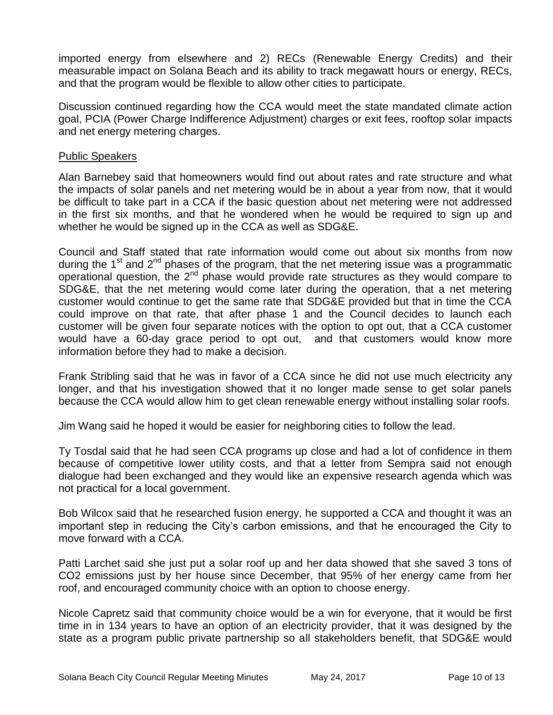imported energy from elsewhere and 2) RECs (Renewable Energy Credits) and their measurable impact on Solana Beach and its ability to track megawatt hours or energy, RECs, and that the program would be flexible to allow other cities to participate.

Discussion continued regarding how the CCA would meet the state mandated climate action goal, PCIA (Power Charge Indifference Adjustment) charges or exit fees, rooftop solar impacts and net energy metering charges.

#### Public Speakers

Alan Barnebey said that homeowners would find out about rates and rate structure and what the impacts of solar panels and net metering would be in about a year from now, that it would be difficult to take part in a CCA if the basic question about net metering were not addressed in the first six months, and that he wondered when he would be required to sign up and whether he would be signed up in the CCA as well as SDG&E.

Council and Staff stated that rate information would come out about six months from now during the 1<sup>st</sup> and 2<sup>nd</sup> phases of the program, that the net metering issue was a programmatic operational question, the 2<sup>nd</sup> phase would provide rate structures as they would compare to SDG&E, that the net metering would come later during the operation, that a net metering customer would continue to get the same rate that SDG&E provided but that in time the CCA could improve on that rate, that after phase 1 and the Council decides to launch each customer will be given four separate notices with the option to opt out, that a CCA customer would have a 60-day grace period to opt out, and that customers would know more information before they had to make a decision.

Frank Stribling said that he was in favor of a CCA since he did not use much electricity any longer, and that his investigation showed that it no longer made sense to get solar panels because the CCA would allow him to get clean renewable energy without installing solar roofs.

Jim Wang said he hoped it would be easier for neighboring cities to follow the lead.

Ty Tosdal said that he had seen CCA programs up close and had a lot of confidence in them because of competitive lower utility costs, and that a letter from Sempra said not enough dialogue had been exchanged and they would like an expensive research agenda which was not practical for a local government.

Bob Wilcox said that he researched fusion energy, he supported a CCA and thought it was an important step in reducing the City's carbon emissions, and that he encouraged the City to move forward with a CCA.

Patti Larchet said she just put a solar roof up and her data showed that she saved 3 tons of CO2 emissions just by her house since December, that 95% of her energy came from her roof, and encouraged community choice with an option to choose energy.

Nicole Capretz said that community choice would be a win for everyone, that it would be first time in in 134 years to have an option of an electricity provider, that it was designed by the state as a program public private partnership so all stakeholders benefit, that SDG&E would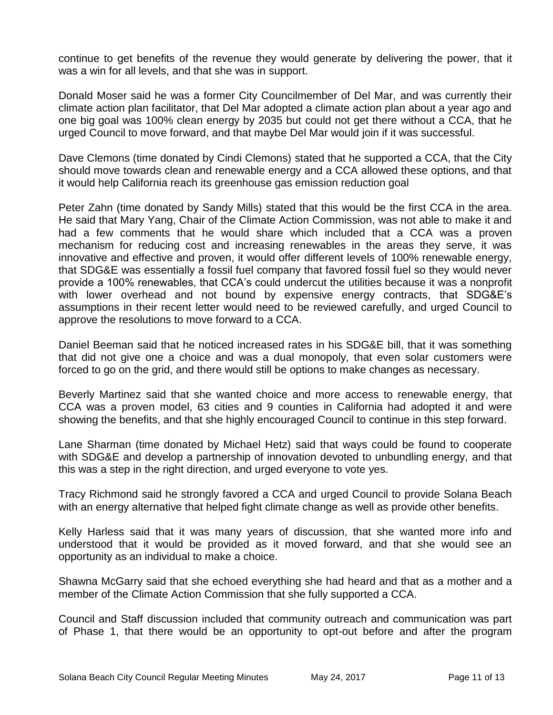continue to get benefits of the revenue they would generate by delivering the power, that it was a win for all levels, and that she was in support.

Donald Moser said he was a former City Councilmember of Del Mar, and was currently their climate action plan facilitator, that Del Mar adopted a climate action plan about a year ago and one big goal was 100% clean energy by 2035 but could not get there without a CCA, that he urged Council to move forward, and that maybe Del Mar would join if it was successful.

Dave Clemons (time donated by Cindi Clemons) stated that he supported a CCA, that the City should move towards clean and renewable energy and a CCA allowed these options, and that it would help California reach its greenhouse gas emission reduction goal

Peter Zahn (time donated by Sandy Mills) stated that this would be the first CCA in the area. He said that Mary Yang, Chair of the Climate Action Commission, was not able to make it and had a few comments that he would share which included that a CCA was a proven mechanism for reducing cost and increasing renewables in the areas they serve, it was innovative and effective and proven, it would offer different levels of 100% renewable energy, that SDG&E was essentially a fossil fuel company that favored fossil fuel so they would never provide a 100% renewables, that CCA's could undercut the utilities because it was a nonprofit with lower overhead and not bound by expensive energy contracts, that SDG&E's assumptions in their recent letter would need to be reviewed carefully, and urged Council to approve the resolutions to move forward to a CCA.

Daniel Beeman said that he noticed increased rates in his SDG&E bill, that it was something that did not give one a choice and was a dual monopoly, that even solar customers were forced to go on the grid, and there would still be options to make changes as necessary.

Beverly Martinez said that she wanted choice and more access to renewable energy, that CCA was a proven model, 63 cities and 9 counties in California had adopted it and were showing the benefits, and that she highly encouraged Council to continue in this step forward.

Lane Sharman (time donated by Michael Hetz) said that ways could be found to cooperate with SDG&E and develop a partnership of innovation devoted to unbundling energy, and that this was a step in the right direction, and urged everyone to vote yes.

Tracy Richmond said he strongly favored a CCA and urged Council to provide Solana Beach with an energy alternative that helped fight climate change as well as provide other benefits.

Kelly Harless said that it was many years of discussion, that she wanted more info and understood that it would be provided as it moved forward, and that she would see an opportunity as an individual to make a choice.

Shawna McGarry said that she echoed everything she had heard and that as a mother and a member of the Climate Action Commission that she fully supported a CCA.

Council and Staff discussion included that community outreach and communication was part of Phase 1, that there would be an opportunity to opt-out before and after the program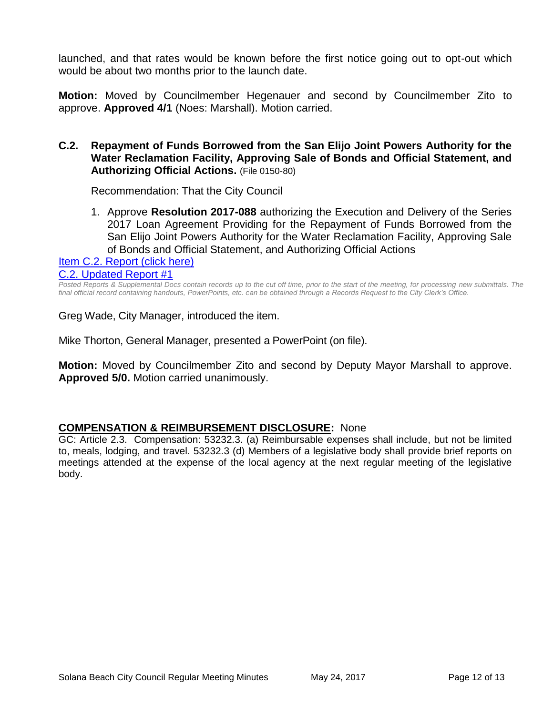launched, and that rates would be known before the first notice going out to opt-out which would be about two months prior to the launch date.

**Motion:** Moved by Councilmember Hegenauer and second by Councilmember Zito to approve. **Approved 4/1** (Noes: Marshall). Motion carried.

#### **C.2. Repayment of Funds Borrowed from the San Elijo Joint Powers Authority for the Water Reclamation Facility, Approving Sale of Bonds and Official Statement, and Authorizing Official Actions.** (File 0150-80)

Recommendation: That the City Council

1. Approve **Resolution 2017-088** authorizing the Execution and Delivery of the Series 2017 Loan Agreement Providing for the Repayment of Funds Borrowed from the San Elijo Joint Powers Authority for the Water Reclamation Facility, Approving Sale of Bonds and Official Statement, and Authorizing Official Actions

[Item C.2. Report \(click here\)](https://solanabeach.govoffice3.com/vertical/Sites/%7B840804C2-F869-4904-9AE3-720581350CE7%7D/uploads/Item_C.2._Report_(click_here)_5-24-17.PDF) [C.2. Updated Report #1](https://solanabeach.govoffice3.com/vertical/Sites/%7B840804C2-F869-4904-9AE3-720581350CE7%7D/uploads/C.2._Updated_Report_1_05-24-17.pdf)

*Posted Reports & Supplemental Docs contain records up to the cut off time, prior to the start of the meeting, for processing new submittals. The final official record containing handouts, PowerPoints, etc. can be obtained through a Records Request to the City Clerk's Office.*

Greg Wade, City Manager, introduced the item.

Mike Thorton, General Manager, presented a PowerPoint (on file).

**Motion:** Moved by Councilmember Zito and second by Deputy Mayor Marshall to approve. **Approved 5/0.** Motion carried unanimously.

#### **COMPENSATION & REIMBURSEMENT DISCLOSURE:** None

GC: Article 2.3. Compensation: 53232.3. (a) Reimbursable expenses shall include, but not be limited to, meals, lodging, and travel. 53232.3 (d) Members of a legislative body shall provide brief reports on meetings attended at the expense of the local agency at the next regular meeting of the legislative body.